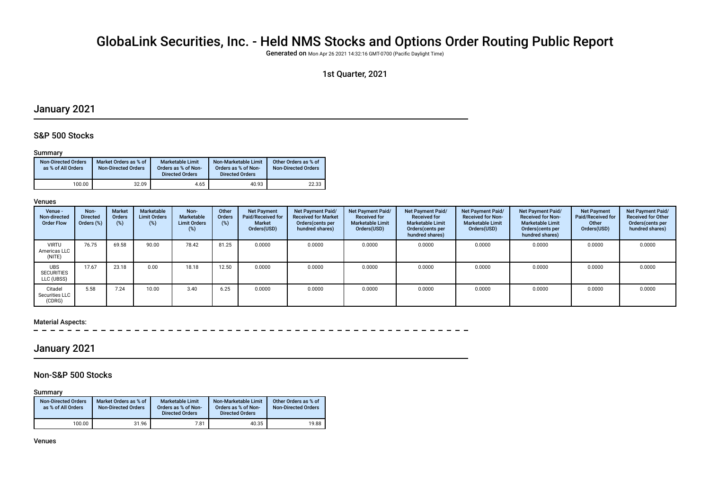# GlobaLink Securities, Inc. - Held NMS Stocks and Options Order Routing Public Report

Generated on Mon Apr 26 2021 14:32:16 GMT-0700 (Pacifc Daylight Time)

## 1st Quarter, 2021

## January 2021

### S&P 500 Stocks

#### Summary

| <b>Non-Directed Orders</b><br>as % of All Orders | Market Orders as % of<br><b>Non-Directed Orders</b> | <b>Marketable Limit</b><br>Orders as % of Non-<br><b>Directed Orders</b> | Non-Marketable Limit<br>Orders as % of Non-<br><b>Directed Orders</b> | Other Orders as % of<br><b>Non-Directed Orders</b> |
|--------------------------------------------------|-----------------------------------------------------|--------------------------------------------------------------------------|-----------------------------------------------------------------------|----------------------------------------------------|
| 100.00                                           | 32.09                                               | 4.65                                                                     | 40.93                                                                 | 22.33                                              |

#### Venues

| Venue -<br>Non-directed<br><b>Order Flow</b>  | Non-<br><b>Directed</b><br>Orders (%) | <b>Market</b><br>Orders<br>$(\%)$ | Marketable<br><b>Limit Orders</b><br>(%) | Non-<br>Marketable<br><b>Limit Orders</b><br>(%) | Other<br>Orders<br>(%) | <b>Net Payment</b><br>Paid/Received for<br><b>Market</b><br>Orders(USD) | Net Payment Paid/<br><b>Received for Market</b><br>Orders (cents per<br>hundred shares) | Net Payment Paid/<br><b>Received for</b><br><b>Marketable Limit</b><br>Orders(USD) | Net Payment Paid/<br><b>Received for</b><br><b>Marketable Limit</b><br>Orders (cents per<br>hundred shares) | Net Payment Paid/<br><b>Received for Non-</b><br><b>Marketable Limit</b><br>Orders(USD) | Net Payment Paid/<br><b>Received for Non-</b><br><b>Marketable Limit</b><br>Orders (cents per<br>hundred shares) | <b>Net Payment</b><br>Paid/Received for<br>Other<br>Orders(USD) | Net Payment Paid/<br><b>Received for Other</b><br>Orders(cents per<br>hundred shares) |
|-----------------------------------------------|---------------------------------------|-----------------------------------|------------------------------------------|--------------------------------------------------|------------------------|-------------------------------------------------------------------------|-----------------------------------------------------------------------------------------|------------------------------------------------------------------------------------|-------------------------------------------------------------------------------------------------------------|-----------------------------------------------------------------------------------------|------------------------------------------------------------------------------------------------------------------|-----------------------------------------------------------------|---------------------------------------------------------------------------------------|
| <b>VIRTU</b><br>Americas LLC<br>(NITE)        | 76.75                                 | 69.58                             | 90.00                                    | 78.42                                            | 81.25                  | 0.0000                                                                  | 0.0000                                                                                  | 0.0000                                                                             | 0.0000                                                                                                      | 0.0000                                                                                  | 0.0000                                                                                                           | 0.0000                                                          | 0.0000                                                                                |
| <b>UBS</b><br><b>SECURITIES</b><br>LLC (UBSS) | 17.67                                 | 23.18                             | 0.00                                     | 18.18                                            | 12.50                  | 0.0000                                                                  | 0.0000                                                                                  | 0.0000                                                                             | 0.0000                                                                                                      | 0.0000                                                                                  | 0.0000                                                                                                           | 0.0000                                                          | 0.0000                                                                                |
| Citadel<br>Securities LLC<br>(CDRG)           | 5.58                                  | 7.24                              | 10.00                                    | 3.40                                             | 6.25                   | 0.0000                                                                  | 0.0000                                                                                  | 0.0000                                                                             | 0.0000                                                                                                      | 0.0000                                                                                  | 0.0000                                                                                                           | 0.0000                                                          | 0.0000                                                                                |

#### Material Aspects:

## January 2021

### Non-S&P 500 Stocks

Summary

| <b>Non-Directed Orders</b><br>as % of All Orders | Market Orders as % of<br><b>Non-Directed Orders</b> | <b>Marketable Limit</b><br>Orders as % of Non-<br><b>Directed Orders</b> | Non-Marketable Limit<br>Orders as % of Non-<br><b>Directed Orders</b> | Other Orders as % of<br><b>Non-Directed Orders</b> |  |
|--------------------------------------------------|-----------------------------------------------------|--------------------------------------------------------------------------|-----------------------------------------------------------------------|----------------------------------------------------|--|
| 100.00                                           | 31.96                                               | 7.81                                                                     | 40.35                                                                 | 19.88                                              |  |

Venues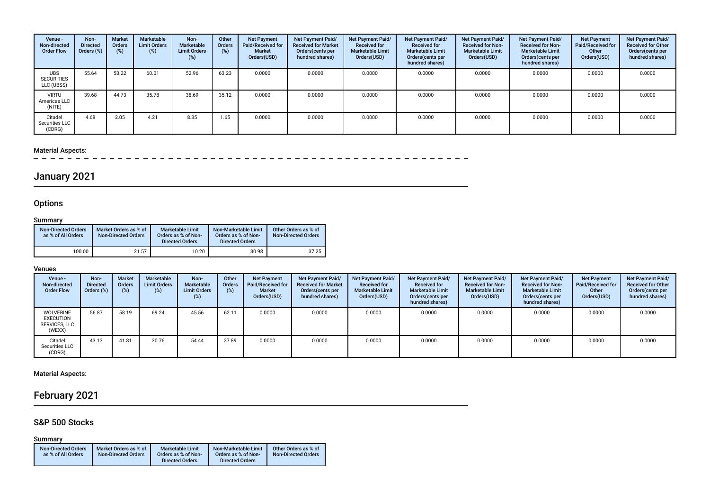| Venue -<br>Non-directed<br><b>Order Flow</b>  | Non-<br><b>Directed</b><br>Orders (%) | <b>Market</b><br><b>Orders</b><br>$(\%)$ | Marketable<br><b>Limit Orders</b><br>(%) | Non-<br>Marketable<br><b>Limit Orders</b><br>(%) | Other<br><b>Orders</b><br>(%) | <b>Net Payment</b><br>Paid/Received for<br>Market<br>Orders(USD) | Net Payment Paid/<br><b>Received for Market</b><br>Orders(cents per<br>hundred shares) | Net Payment Paid/<br><b>Received for</b><br><b>Marketable Limit</b><br>Orders(USD) | <b>Net Payment Paid/</b><br><b>Received for</b><br><b>Marketable Limit</b><br>Orders(cents per<br>hundred shares) | Net Payment Paid/<br><b>Received for Non-</b><br><b>Marketable Limit</b><br>Orders(USD) | Net Payment Paid/<br><b>Received for Non-</b><br><b>Marketable Limit</b><br>Orders (cents per<br>hundred shares) | <b>Net Payment</b><br>Paid/Received for<br>Other<br>Orders(USD) | Net Payment Paid/<br><b>Received for Other</b><br>Orders (cents per<br>hundred shares) |
|-----------------------------------------------|---------------------------------------|------------------------------------------|------------------------------------------|--------------------------------------------------|-------------------------------|------------------------------------------------------------------|----------------------------------------------------------------------------------------|------------------------------------------------------------------------------------|-------------------------------------------------------------------------------------------------------------------|-----------------------------------------------------------------------------------------|------------------------------------------------------------------------------------------------------------------|-----------------------------------------------------------------|----------------------------------------------------------------------------------------|
| <b>UBS</b><br><b>SECURITIES</b><br>LLC (UBSS) | 55.64                                 | 53.22                                    | 60.01                                    | 52.96                                            | 63.23                         | 0.0000                                                           | 0.0000                                                                                 | 0.0000                                                                             | 0.0000                                                                                                            | 0.0000                                                                                  | 0.0000                                                                                                           | 0.0000                                                          | 0.0000                                                                                 |
| <b>VIRTU</b><br>Americas LLC<br>(NITE)        | 39.68                                 | 44.73                                    | 35.78                                    | 38.69                                            | 35.12                         | 0.0000                                                           | 0.0000                                                                                 | 0.0000                                                                             | 0.0000                                                                                                            | 0.0000                                                                                  | 0.0000                                                                                                           | 0.0000                                                          | 0.0000                                                                                 |
| Citadel<br>Securities LLC<br>(CDRG)           | 4.68                                  | 2.05                                     | 4.21                                     | 8.35                                             | 1.65                          | 0.0000                                                           | 0.0000                                                                                 | 0.0000                                                                             | 0.0000                                                                                                            | 0.0000                                                                                  | 0.0000                                                                                                           | 0.0000                                                          | 0.0000                                                                                 |

# Material Aspects:<br> $- - - - -$

## January 2021

## **Options**

### **Summary**

| <b>Non-Directed Orders</b><br>as % of All Orders | Market Orders as % of<br><b>Non-Directed Orders</b> | <b>Marketable Limit</b><br>Orders as % of Non-<br><b>Directed Orders</b> | Non-Marketable Limit<br>Orders as % of Non-<br><b>Directed Orders</b> | Other Orders as % of<br><b>Non-Directed Orders</b> |
|--------------------------------------------------|-----------------------------------------------------|--------------------------------------------------------------------------|-----------------------------------------------------------------------|----------------------------------------------------|
| 100.00                                           | 21.57                                               | 10.20                                                                    | 30.98                                                                 | 37.25                                              |

#### Venues

| Venue -<br>Non-directed<br><b>Order Flow</b>                    | Non-<br><b>Directed</b><br>Orders (%) | <b>Market</b><br><b>Orders</b> | Marketable<br><b>Limit Orders</b><br>(%) | Non-<br>Marketable<br><b>Limit Orders</b><br>(%) | Other<br>Orders | <b>Net Payment</b><br><b>Paid/Received for</b><br><b>Market</b><br>Orders(USD) | <b>Net Payment Paid/</b><br><b>Received for Market</b><br>Orders(cents per<br>hundred shares) | <b>Net Payment Paid/</b><br><b>Received for</b><br><b>Marketable Limit</b><br>Orders(USD) | <b>Net Payment Paid/</b><br><b>Received for</b><br><b>Marketable Limit</b><br>Orders(cents per<br>hundred shares) | Net Payment Paid/<br><b>Received for Non-</b><br><b>Marketable Limit</b><br>Orders(USD) | Net Payment Paid/<br><b>Received for Non-</b><br><b>Marketable Limit</b><br>Orders (cents per<br>hundred shares) | <b>Net Payment</b><br><b>Paid/Received for</b><br>Other<br>Orders(USD) | Net Payment Paid/<br><b>Received for Other</b><br>Orders(cents per<br>hundred shares) |
|-----------------------------------------------------------------|---------------------------------------|--------------------------------|------------------------------------------|--------------------------------------------------|-----------------|--------------------------------------------------------------------------------|-----------------------------------------------------------------------------------------------|-------------------------------------------------------------------------------------------|-------------------------------------------------------------------------------------------------------------------|-----------------------------------------------------------------------------------------|------------------------------------------------------------------------------------------------------------------|------------------------------------------------------------------------|---------------------------------------------------------------------------------------|
| <b>WOLVERINE</b><br><b>EXECUTION</b><br>SERVICES, LLC<br>(WEXX) | 56.87                                 | 58.19                          | 69.24                                    | 45.56                                            | 62.11           | 0.0000                                                                         | 0.0000                                                                                        | 0.0000                                                                                    | 0.0000                                                                                                            | 0.0000                                                                                  | 0.0000                                                                                                           | 0.0000                                                                 | 0.0000                                                                                |
| Citadel<br>Securities LLC<br>(CDRG)                             | 43.13                                 | 41.81                          | 30.76                                    | 54.44                                            | 37.89           | 0.0000                                                                         | 0.0000                                                                                        | 0.0000                                                                                    | 0.0000                                                                                                            | 0.0000                                                                                  | 0.0000                                                                                                           | 0.0000                                                                 | 0.0000                                                                                |

Material Aspects:

## February 2021

### S&P 500 Stocks

Summary

| <b>Non-Directed Orders</b> | Market Orders as % of      | <b>Marketable Limit</b> | Non-Marketable Limit   | Other Orders as % of       |
|----------------------------|----------------------------|-------------------------|------------------------|----------------------------|
| as % of All Orders         | <b>Non-Directed Orders</b> | Orders as % of Non-     | Orders as % of Non-    | <b>Non-Directed Orders</b> |
|                            |                            | <b>Directed Orders</b>  | <b>Directed Orders</b> |                            |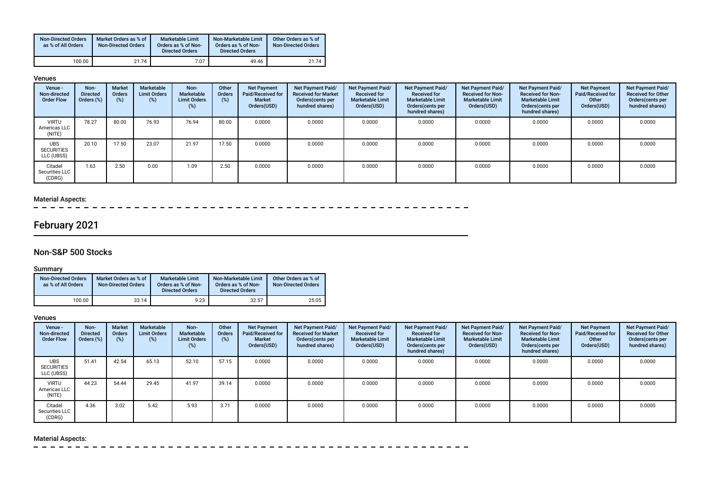| <b>Non-Directed Orders</b><br>as % of All Orders | Market Orders as % of<br><b>Non-Directed Orders</b> | Marketable Limit<br>Orders as % of Non-<br><b>Directed Orders</b> | Non-Marketable Limit<br>Orders as % of Non-<br><b>Directed Orders</b> | Other Orders as % of<br><b>Non-Directed Orders</b> |
|--------------------------------------------------|-----------------------------------------------------|-------------------------------------------------------------------|-----------------------------------------------------------------------|----------------------------------------------------|
| 100.00                                           | 21.74                                               | 7.07                                                              | 49.46                                                                 | 21.74                                              |

#### Venues

| Venue -<br>Non-directed<br><b>Order Flow</b>  | Non-<br><b>Directed</b><br>Orders (%) | Market<br><b>Orders</b><br>$(\%)$ | Marketable<br><b>Limit Orders</b><br>(%) | Non-<br>Marketable<br><b>Limit Orders</b><br>(%) | Other<br><b>Orders</b><br>(%) | <b>Net Payment</b><br>Paid/Received for<br><b>Market</b><br>Orders(USD) | <b>Net Payment Paid/</b><br><b>Received for Market</b><br>Orders (cents per<br>hundred shares) | Net Payment Paid/<br><b>Received for</b><br><b>Marketable Limit</b><br>Orders(USD) | Net Payment Paid/<br><b>Received for</b><br><b>Marketable Limit</b><br>Orders(cents per<br>hundred shares) | Net Payment Paid/<br><b>Received for Non-</b><br><b>Marketable Limit</b><br>Orders(USD) | Net Payment Paid/<br><b>Received for Non-</b><br><b>Marketable Limit</b><br>Orders (cents per<br>hundred shares) | <b>Net Payment</b><br>Paid/Received for<br>Other<br>Orders(USD) | Net Payment Paid/<br><b>Received for Other</b><br>Orders (cents per<br>hundred shares) |
|-----------------------------------------------|---------------------------------------|-----------------------------------|------------------------------------------|--------------------------------------------------|-------------------------------|-------------------------------------------------------------------------|------------------------------------------------------------------------------------------------|------------------------------------------------------------------------------------|------------------------------------------------------------------------------------------------------------|-----------------------------------------------------------------------------------------|------------------------------------------------------------------------------------------------------------------|-----------------------------------------------------------------|----------------------------------------------------------------------------------------|
| <b>VIRTU</b><br>Americas LLC<br>(NITE)        | 78.27                                 | 80.00                             | 76.93                                    | 76.94                                            | 80.00                         | 0.0000                                                                  | 0.0000                                                                                         | 0.0000                                                                             | 0.0000                                                                                                     | 0.0000                                                                                  | 0.0000                                                                                                           | 0.0000                                                          | 0.0000                                                                                 |
| <b>UBS</b><br><b>SECURITIES</b><br>LLC (UBSS) | 20.10                                 | 17.50                             | 23.07                                    | 21.97                                            | 17.50                         | 0.0000                                                                  | 0.0000                                                                                         | 0.0000                                                                             | 0.0000                                                                                                     | 0.0000                                                                                  | 0.0000                                                                                                           | 0.0000                                                          | 0.0000                                                                                 |
| Citadel<br>Securities LLC<br>(CDRG)           | 1.63                                  | 2.50                              | 0.00                                     | 1.09                                             | 2.50                          | 0.0000                                                                  | 0.0000                                                                                         | 0.0000                                                                             | 0.0000                                                                                                     | 0.0000                                                                                  | 0.0000                                                                                                           | 0.0000                                                          | 0.0000                                                                                 |

### Material Aspects:

 $\equiv$ سا سا سا س

## February 2021

## Non-S&P 500 Stocks

### Summary

| <b>Non-Directed Orders</b><br>as % of All Orders | Market Orders as % of<br><b>Non-Directed Orders</b> | <b>Marketable Limit</b><br>Orders as % of Non-<br><b>Directed Orders</b> | Non-Marketable Limit<br>Orders as % of Non-<br><b>Directed Orders</b> | Other Orders as % of<br><b>Non-Directed Orders</b> |
|--------------------------------------------------|-----------------------------------------------------|--------------------------------------------------------------------------|-----------------------------------------------------------------------|----------------------------------------------------|
| 100.00                                           | 33.14                                               | 9.23                                                                     | 32.57                                                                 | 25.05                                              |

#### Venues

| Venue -<br>Non-directed<br><b>Order Flow</b>  | Non-<br><b>Directed</b><br>Orders (%) | <b>Market</b><br><b>Orders</b><br>(%) | Marketable<br><b>Limit Orders</b><br>(%) | Non-<br>Marketable<br><b>Limit Orders</b><br>$(\%)$ | Other<br><b>Orders</b><br>(%) | <b>Net Payment</b><br>Paid/Received for<br>Market<br>Orders(USD) | <b>Net Payment Paid/</b><br><b>Received for Market</b><br>Orders (cents per<br>hundred shares) | Net Payment Paid/<br><b>Received for</b><br><b>Marketable Limit</b><br>Orders(USD) | Net Payment Paid/<br><b>Received for</b><br><b>Marketable Limit</b><br>Orders(cents per<br>hundred shares) | Net Payment Paid/<br><b>Received for Non-</b><br><b>Marketable Limit</b><br>Orders(USD) | Net Payment Paid/<br><b>Received for Non-</b><br><b>Marketable Limit</b><br>Orders (cents per<br>hundred shares) | <b>Net Payment</b><br>Paid/Received for<br>Other<br>Orders(USD) | Net Payment Paid/<br><b>Received for Other</b><br>Orders (cents per<br>hundred shares) |
|-----------------------------------------------|---------------------------------------|---------------------------------------|------------------------------------------|-----------------------------------------------------|-------------------------------|------------------------------------------------------------------|------------------------------------------------------------------------------------------------|------------------------------------------------------------------------------------|------------------------------------------------------------------------------------------------------------|-----------------------------------------------------------------------------------------|------------------------------------------------------------------------------------------------------------------|-----------------------------------------------------------------|----------------------------------------------------------------------------------------|
| <b>UBS</b><br><b>SECURITIES</b><br>LLC (UBSS) | 51.41                                 | 42.54                                 | 65.13                                    | 52.10                                               | 57.15                         | 0.0000                                                           | 0.0000                                                                                         | 0.0000                                                                             | 0.0000                                                                                                     | 0.0000                                                                                  | 0.0000                                                                                                           | 0.0000                                                          | 0.0000                                                                                 |
| <b>VIRTU</b><br>Americas LLC<br>(NITE)        | 44.23                                 | 54.44                                 | 29.45                                    | 41.97                                               | 39.14                         | 0.0000                                                           | 0.0000                                                                                         | 0.0000                                                                             | 0.0000                                                                                                     | 0.0000                                                                                  | 0.0000                                                                                                           | 0.0000                                                          | 0.0000                                                                                 |
| Citadel<br>Securities LLC<br>(CDRG)           | 4.36                                  | 3.02                                  | 5.42                                     | 5.93                                                | 3.71                          | 0.0000                                                           | 0.0000                                                                                         | 0.0000                                                                             | 0.0000                                                                                                     | 0.0000                                                                                  | 0.0000                                                                                                           | 0.0000                                                          | 0.0000                                                                                 |

## Material Aspects:

 $\sim$  $\sim$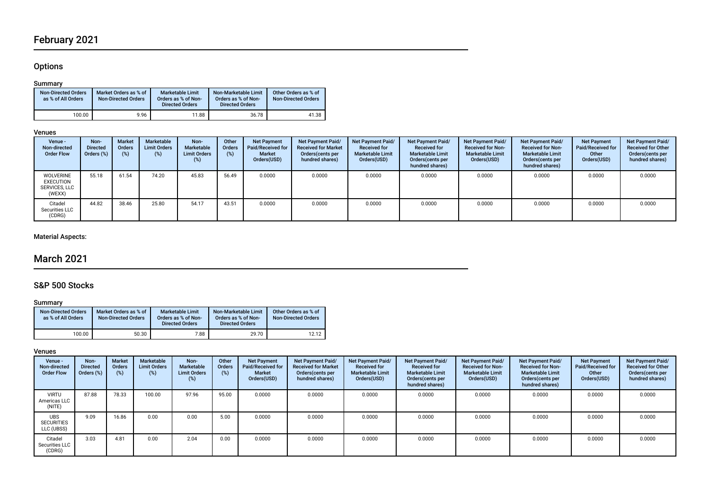## February 2021

## **Options**

### Summary

| <b>Non-Directed Orders</b><br>as % of All Orders | Market Orders as % of<br><b>Non-Directed Orders</b> | Marketable Limit<br>Orders as % of Non-<br><b>Directed Orders</b> | Non-Marketable Limit<br>Orders as % of Non-<br><b>Directed Orders</b> | Other Orders as % of<br><b>Non-Directed Orders</b> |
|--------------------------------------------------|-----------------------------------------------------|-------------------------------------------------------------------|-----------------------------------------------------------------------|----------------------------------------------------|
| 100.00                                           | 9.96                                                | 11.88                                                             | 36.78                                                                 | 41.38                                              |

### Venues

| Venue -<br>Non-directed<br><b>Order Flow</b>                    | Non-<br><b>Directed</b><br>Orders (%) | <b>Market</b><br><b>Orders</b><br>(%) | Marketable<br><b>Limit Orders</b><br>(%) | Non-<br>Marketable<br><b>Limit Orders</b><br>(%) | Other<br>Orders<br>$(\%)$ | <b>Net Payment</b><br>Paid/Received for<br><b>Market</b><br>Orders(USD) | Net Payment Paid/<br><b>Received for Market</b><br>Orders(cents per<br>hundred shares) | Net Payment Paid/<br><b>Received for</b><br><b>Marketable Limit</b><br>Orders(USD) | <b>Net Payment Paid/</b><br><b>Received for</b><br><b>Marketable Limit</b><br>Orders (cents per<br>hundred shares) | Net Payment Paid/<br><b>Received for Non-</b><br><b>Marketable Limit</b><br>Orders(USD) | Net Payment Paid/<br><b>Received for Non-</b><br><b>Marketable Limit</b><br>Orders(cents per<br>hundred shares) | <b>Net Payment</b><br>Paid/Received for<br>Other<br>Orders(USD) | Net Payment Paid/<br><b>Received for Other</b><br>Orders(cents per<br>hundred shares) |
|-----------------------------------------------------------------|---------------------------------------|---------------------------------------|------------------------------------------|--------------------------------------------------|---------------------------|-------------------------------------------------------------------------|----------------------------------------------------------------------------------------|------------------------------------------------------------------------------------|--------------------------------------------------------------------------------------------------------------------|-----------------------------------------------------------------------------------------|-----------------------------------------------------------------------------------------------------------------|-----------------------------------------------------------------|---------------------------------------------------------------------------------------|
| <b>WOLVERINE</b><br><b>EXECUTION</b><br>SERVICES, LLC<br>(WEXX) | 55.18                                 | 61.54                                 | 74.20                                    | 45.83                                            | 56.49                     | 0.0000                                                                  | 0.0000                                                                                 | 0.0000                                                                             | 0.0000                                                                                                             | 0.0000                                                                                  | 0.0000                                                                                                          | 0.0000                                                          | 0.0000                                                                                |
| Citadel<br>Securities LLC<br>(CDRG)                             | 44.82                                 | 38.46                                 | 25.80                                    | 54.17                                            | 43.51                     | 0.0000                                                                  | 0.0000                                                                                 | 0.0000                                                                             | 0.0000                                                                                                             | 0.0000                                                                                  | 0.0000                                                                                                          | 0.0000                                                          | 0.0000                                                                                |

## Material Aspects:

## March 2021

## S&P 500 Stocks

## **Summary**

| <b>Non-Directed Orders</b><br>as % of All Orders | Market Orders as % of<br><b>Non-Directed Orders</b> | <b>Marketable Limit</b><br>Orders as % of Non-<br><b>Directed Orders</b> | Non-Marketable Limit<br>Orders as % of Non-<br><b>Directed Orders</b> | Other Orders as % of<br><b>Non-Directed Orders</b> |
|--------------------------------------------------|-----------------------------------------------------|--------------------------------------------------------------------------|-----------------------------------------------------------------------|----------------------------------------------------|
| 100.00                                           | 50.30                                               | 7.88                                                                     | 29.70                                                                 | 12.12                                              |

### Venues

| Venue -<br>Non-directed<br><b>Order Flow</b>  | Non-<br><b>Directed</b><br>Orders (%) | <b>Market</b><br><b>Orders</b><br>$(\%)$ | Marketable<br><b>Limit Orders</b><br>(%) | Non-<br>Marketable<br><b>Limit Orders</b><br>(%) | Other<br>Orders<br>(%) | <b>Net Payment</b><br>Paid/Received for<br><b>Market</b><br>Orders(USD) | <b>Net Payment Paid/</b><br><b>Received for Market</b><br>Orders (cents per<br>hundred shares) | Net Payment Paid/<br><b>Received for</b><br><b>Marketable Limit</b><br>Orders(USD) | Net Payment Paid/<br><b>Received for</b><br><b>Marketable Limit</b><br>Orders (cents per<br>hundred shares) | Net Payment Paid/<br><b>Received for Non-</b><br><b>Marketable Limit</b><br>Orders(USD) | Net Payment Paid/<br><b>Received for Non-</b><br><b>Marketable Limit</b><br>Orders (cents per<br>hundred shares) | <b>Net Payment</b><br>Paid/Received for<br>Other<br>Orders(USD) | Net Payment Paid/<br><b>Received for Other</b><br>Orders(cents per<br>hundred shares) |
|-----------------------------------------------|---------------------------------------|------------------------------------------|------------------------------------------|--------------------------------------------------|------------------------|-------------------------------------------------------------------------|------------------------------------------------------------------------------------------------|------------------------------------------------------------------------------------|-------------------------------------------------------------------------------------------------------------|-----------------------------------------------------------------------------------------|------------------------------------------------------------------------------------------------------------------|-----------------------------------------------------------------|---------------------------------------------------------------------------------------|
| VIRTU<br>Americas LLC<br>(NITE)               | 87.88                                 | 78.33                                    | 100.00                                   | 97.96                                            | 95.00                  | 0.0000                                                                  | 0.0000                                                                                         | 0.0000                                                                             | 0.0000                                                                                                      | 0.0000                                                                                  | 0.0000                                                                                                           | 0.0000                                                          | 0.0000                                                                                |
| <b>UBS</b><br><b>SECURITIES</b><br>LLC (UBSS) | 9.09                                  | 16.86                                    | 0.00                                     | 0.00                                             | 5.00                   | 0.0000                                                                  | 0.0000                                                                                         | 0.0000                                                                             | 0.0000                                                                                                      | 0.0000                                                                                  | 0.0000                                                                                                           | 0.0000                                                          | 0.0000                                                                                |
| Citadel<br>Securities LLC<br>(CDRG)           | 3.03                                  | 4.81                                     | 0.00                                     | 2.04                                             | 0.00                   | 0.0000                                                                  | 0.0000                                                                                         | 0.0000                                                                             | 0.0000                                                                                                      | 0.0000                                                                                  | 0.0000                                                                                                           | 0.0000                                                          | 0.0000                                                                                |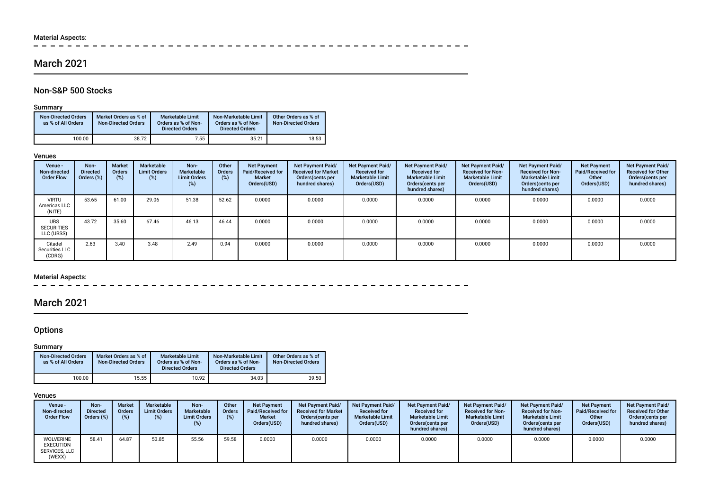## Material Aspects:<br> $= - -$

--------- $\overline{\phantom{a}}$  $\sim$  $\equiv$  $\overline{\phantom{a}}$  $-$ 

## March 2021

## Non-S&P 500 Stocks

### Summary

| <b>Non-Directed Orders</b><br>as % of All Orders | Market Orders as % of<br><b>Non-Directed Orders</b> | <b>Marketable Limit</b><br>Orders as % of Non-<br><b>Directed Orders</b> | Non-Marketable Limit<br>Orders as % of Non-<br><b>Directed Orders</b> | Other Orders as % of<br><b>Non-Directed Orders</b> |
|--------------------------------------------------|-----------------------------------------------------|--------------------------------------------------------------------------|-----------------------------------------------------------------------|----------------------------------------------------|
| 100.00                                           | 38.72                                               | 7.55                                                                     | 35.21                                                                 | 18.53                                              |

#### Venues

| Venue -<br>Non-directed<br><b>Order Flow</b>  | Non-<br>Directed<br>Orders (%) | <b>Market</b><br><b>Orders</b><br>(%) | Marketable<br><b>Limit Orders</b><br>(%) | Non-<br>Marketable<br><b>Limit Orders</b><br>(%) | Other<br><b>Orders</b><br>(%) | <b>Net Payment</b><br>Paid/Received for<br><b>Market</b><br>Orders(USD) | Net Payment Paid/<br><b>Received for Market</b><br>Orders(cents per<br>hundred shares) | Net Payment Paid/<br><b>Received for</b><br><b>Marketable Limit</b><br>Orders(USD) | <b>Net Payment Paid/</b><br><b>Received for</b><br><b>Marketable Limit</b><br>Orders (cents per<br>hundred shares) | Net Payment Paid/<br><b>Received for Non-</b><br><b>Marketable Limit</b><br>Orders(USD) | Net Payment Paid/<br><b>Received for Non-</b><br><b>Marketable Limit</b><br>Orders (cents per<br>hundred shares) | <b>Net Payment</b><br>Paid/Received for<br>Other<br>Orders(USD) | Net Payment Paid/<br><b>Received for Other</b><br>Orders(cents per<br>hundred shares) |
|-----------------------------------------------|--------------------------------|---------------------------------------|------------------------------------------|--------------------------------------------------|-------------------------------|-------------------------------------------------------------------------|----------------------------------------------------------------------------------------|------------------------------------------------------------------------------------|--------------------------------------------------------------------------------------------------------------------|-----------------------------------------------------------------------------------------|------------------------------------------------------------------------------------------------------------------|-----------------------------------------------------------------|---------------------------------------------------------------------------------------|
| <b>VIRTU</b><br>Americas LLC<br>(NITE)        | 53.65                          | 61.00                                 | 29.06                                    | 51.38                                            | 52.62                         | 0.0000                                                                  | 0.0000                                                                                 | 0.0000                                                                             | 0.0000                                                                                                             | 0.0000                                                                                  | 0.0000                                                                                                           | 0.0000                                                          | 0.0000                                                                                |
| <b>UBS</b><br><b>SECURITIES</b><br>LLC (UBSS) | 43.72                          | 35.60                                 | 67.46                                    | 46.13                                            | 46.44                         | 0.0000                                                                  | 0.0000                                                                                 | 0.0000                                                                             | 0.0000                                                                                                             | 0.0000                                                                                  | 0.0000                                                                                                           | 0.0000                                                          | 0.0000                                                                                |
| Citadel<br>Securities LLC<br>(CDRG)           | 2.63                           | 3.40                                  | 3.48                                     | 2.49                                             | 0.94                          | 0.0000                                                                  | 0.0000                                                                                 | 0.0000                                                                             | 0.0000                                                                                                             | 0.0000                                                                                  | 0.0000                                                                                                           | 0.0000                                                          | 0.0000                                                                                |

## Material Aspects:

 $\overline{\phantom{0}}$ 

## March 2021

## **Options**

### **Summary**

| <b>Non-Directed Orders</b><br>as % of All Orders | Market Orders as % of<br><b>Non-Directed Orders</b> | <b>Marketable Limit</b><br>Orders as % of Non-<br><b>Directed Orders</b> | Non-Marketable Limit<br>Orders as % of Non-<br><b>Directed Orders</b> | Other Orders as % of<br><b>Non-Directed Orders</b> |
|--------------------------------------------------|-----------------------------------------------------|--------------------------------------------------------------------------|-----------------------------------------------------------------------|----------------------------------------------------|
| 100.00                                           | 15.55                                               | 10.92                                                                    | 34.03                                                                 | 39.50                                              |

### Venues

| Venue -<br>Non-directed<br><b>Order Flow</b>                    | Non-<br><b>Directed</b><br>Orders (%) | <b>Market</b><br><b>Orders</b> | Marketable<br><b>Limit Orders</b><br>(%) | Non-<br>Marketable<br><b>Limit Orders</b><br>$(\%)$ | Other<br>Orders | <b>Net Payment</b><br><b>Paid/Received for</b><br><b>Market</b><br>Orders(USD) | <b>Net Payment Paid/</b><br><b>Received for Market</b><br>Orders(cents per<br>hundred shares) | Net Payment Paid/<br><b>Received for</b><br><b>Marketable Limit</b><br>Orders(USD) | Net Payment Paid/<br><b>Received for</b><br><b>Marketable Limit</b><br>Orders (cents per<br>hundred shares) | Net Payment Paid/<br><b>Received for Non-</b><br><b>Marketable Limit</b><br>Orders(USD) | Net Payment Paid/<br><b>Received for Non-</b><br><b>Marketable Limit</b><br>Orders (cents per<br>hundred shares) | <b>Net Payment</b><br>Paid/Received for<br>Other<br>Orders(USD) | Net Payment Paid/<br><b>Received for Other</b><br>Orders(cents per<br>hundred shares) |
|-----------------------------------------------------------------|---------------------------------------|--------------------------------|------------------------------------------|-----------------------------------------------------|-----------------|--------------------------------------------------------------------------------|-----------------------------------------------------------------------------------------------|------------------------------------------------------------------------------------|-------------------------------------------------------------------------------------------------------------|-----------------------------------------------------------------------------------------|------------------------------------------------------------------------------------------------------------------|-----------------------------------------------------------------|---------------------------------------------------------------------------------------|
| <b>WOLVERINE</b><br><b>EXECUTION</b><br>SERVICES. LLC<br>(WEXX) | 58.41                                 | 64.87                          | 53.85                                    | 55.56                                               | 59.58           | 0.0000                                                                         | 0.0000                                                                                        | 0.0000                                                                             | 0.0000                                                                                                      | 0.0000                                                                                  | 0.0000                                                                                                           | 0.0000                                                          | 0.0000                                                                                |